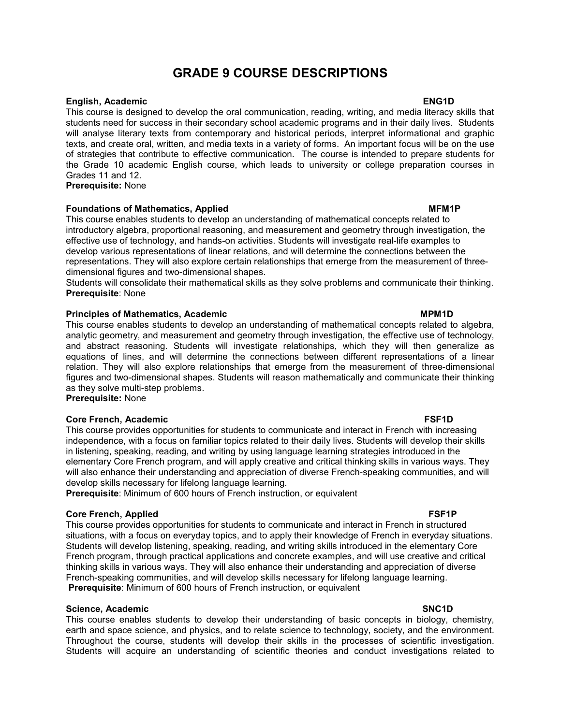# GRADE 9 COURSE DESCRIPTIONS

### English, Academic ENG1D

This course is designed to develop the oral communication, reading, writing, and media literacy skills that students need for success in their secondary school academic programs and in their daily lives. Students will analyse literary texts from contemporary and historical periods, interpret informational and graphic texts, and create oral, written, and media texts in a variety of forms. An important focus will be on the use of strategies that contribute to effective communication. The course is intended to prepare students for the Grade 10 academic English course, which leads to university or college preparation courses in Grades 11 and 12.

Prerequisite: None

## Foundations of Mathematics, Applied MEM1P and MEM1P and MEM1P and MEM1P and MEM1P and MEM1P and MEM1P and MEM1P

This course enables students to develop an understanding of mathematical concepts related to introductory algebra, proportional reasoning, and measurement and geometry through investigation, the effective use of technology, and hands-on activities. Students will investigate real-life examples to develop various representations of linear relations, and will determine the connections between the representations. They will also explore certain relationships that emerge from the measurement of threedimensional figures and two-dimensional shapes.

Students will consolidate their mathematical skills as they solve problems and communicate their thinking. Prerequisite: None

### Principles of Mathematics, Academic MPM1D and MPM1D MPM1D

This course enables students to develop an understanding of mathematical concepts related to algebra, analytic geometry, and measurement and geometry through investigation, the effective use of technology, and abstract reasoning. Students will investigate relationships, which they will then generalize as equations of lines, and will determine the connections between different representations of a linear relation. They will also explore relationships that emerge from the measurement of three-dimensional figures and two-dimensional shapes. Students will reason mathematically and communicate their thinking as they solve multi-step problems.

Prerequisite: None

## Core French, Academic **FSF1D**

This course provides opportunities for students to communicate and interact in French with increasing independence, with a focus on familiar topics related to their daily lives. Students will develop their skills in listening, speaking, reading, and writing by using language learning strategies introduced in the elementary Core French program, and will apply creative and critical thinking skills in various ways. They will also enhance their understanding and appreciation of diverse French-speaking communities, and will develop skills necessary for lifelong language learning.

Prerequisite: Minimum of 600 hours of French instruction, or equivalent

### Core French, Applied **FSF1P**

This course provides opportunities for students to communicate and interact in French in structured situations, with a focus on everyday topics, and to apply their knowledge of French in everyday situations. Students will develop listening, speaking, reading, and writing skills introduced in the elementary Core French program, through practical applications and concrete examples, and will use creative and critical thinking skills in various ways. They will also enhance their understanding and appreciation of diverse French-speaking communities, and will develop skills necessary for lifelong language learning. Prerequisite: Minimum of 600 hours of French instruction, or equivalent

## Science, Academic SNC1D and SNC1D structure of the SNC1D structure of the SNC1D structure of the SNC1D structure of the SNC1D structure of the SNC1D structure of the SNC1D structure of the SNC1D structure of the SNC1D stru

This course enables students to develop their understanding of basic concepts in biology, chemistry, earth and space science, and physics, and to relate science to technology, society, and the environment. Throughout the course, students will develop their skills in the processes of scientific investigation. Students will acquire an understanding of scientific theories and conduct investigations related to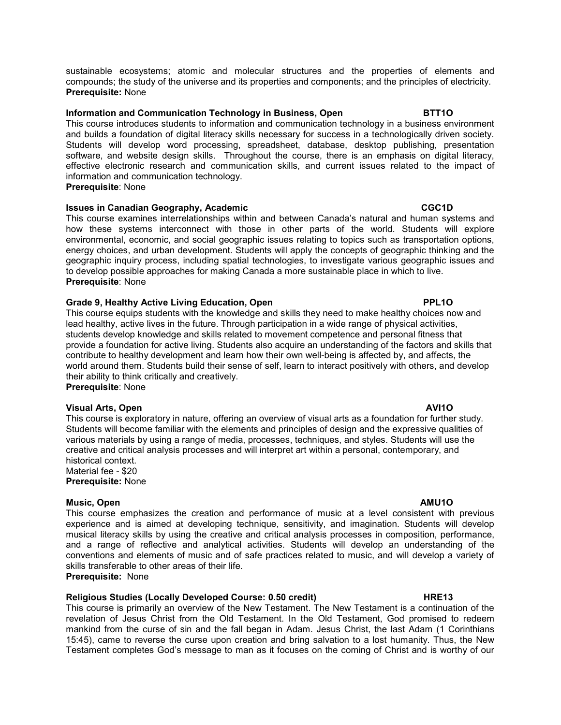sustainable ecosystems; atomic and molecular structures and the properties of elements and compounds; the study of the universe and its properties and components; and the principles of electricity. Prerequisite: None

### Information and Communication Technology in Business, Open BTT10

This course introduces students to information and communication technology in a business environment and builds a foundation of digital literacy skills necessary for success in a technologically driven society. Students will develop word processing, spreadsheet, database, desktop publishing, presentation software, and website design skills. Throughout the course, there is an emphasis on digital literacy, effective electronic research and communication skills, and current issues related to the impact of information and communication technology.

Prerequisite: None

### Issues in Canadian Geography, Academic CGC1D CGC1D

This course examines interrelationships within and between Canada's natural and human systems and how these systems interconnect with those in other parts of the world. Students will explore environmental, economic, and social geographic issues relating to topics such as transportation options, energy choices, and urban development. Students will apply the concepts of geographic thinking and the geographic inquiry process, including spatial technologies, to investigate various geographic issues and to develop possible approaches for making Canada a more sustainable place in which to live. Prerequisite: None

### Grade 9, Healthy Active Living Education, Open **PRIMIC 2018** PPL1O

This course equips students with the knowledge and skills they need to make healthy choices now and lead healthy, active lives in the future. Through participation in a wide range of physical activities, students develop knowledge and skills related to movement competence and personal fitness that provide a foundation for active living. Students also acquire an understanding of the factors and skills that contribute to healthy development and learn how their own well-being is affected by, and affects, the world around them. Students build their sense of self, learn to interact positively with others, and develop their ability to think critically and creatively.

Prerequisite: None

## Visual Arts, Open AVI1O

This course is exploratory in nature, offering an overview of visual arts as a foundation for further study. Students will become familiar with the elements and principles of design and the expressive qualities of various materials by using a range of media, processes, techniques, and styles. Students will use the creative and critical analysis processes and will interpret art within a personal, contemporary, and historical context.

Material fee - \$20 Prerequisite: None

### Music, Open AMU1O

This course emphasizes the creation and performance of music at a level consistent with previous experience and is aimed at developing technique, sensitivity, and imagination. Students will develop musical literacy skills by using the creative and critical analysis processes in composition, performance, and a range of reflective and analytical activities. Students will develop an understanding of the conventions and elements of music and of safe practices related to music, and will develop a variety of skills transferable to other areas of their life.

Prerequisite: None

## Religious Studies (Locally Developed Course: 0.50 credit) The MRE13

This course is primarily an overview of the New Testament. The New Testament is a continuation of the revelation of Jesus Christ from the Old Testament. In the Old Testament, God promised to redeem mankind from the curse of sin and the fall began in Adam. Jesus Christ, the last Adam (1 Corinthians 15:45), came to reverse the curse upon creation and bring salvation to a lost humanity. Thus, the New Testament completes God's message to man as it focuses on the coming of Christ and is worthy of our